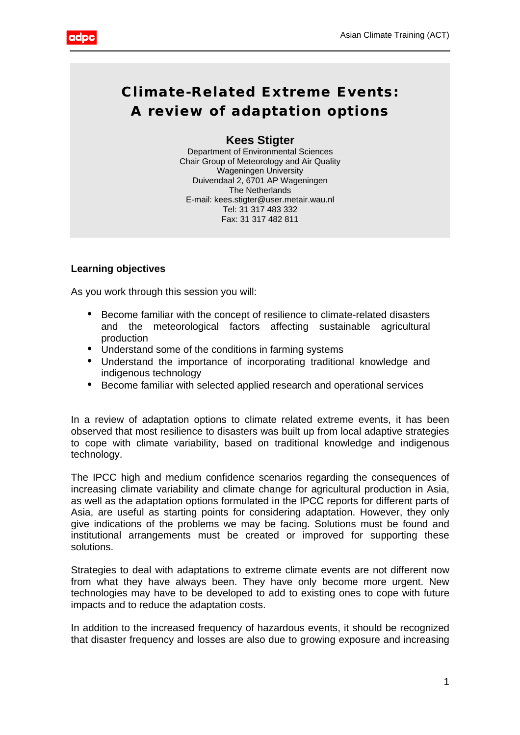

# *Climate-Related Extreme Events: A review of adaptation options*

# **Kees Stigter**

Department of Environmental Sciences Chair Group of Meteorology and Air Quality Wageningen University Duivendaal 2, 6701 AP Wageningen The Netherlands E-mail: kees.stigter@user.metair.wau.nl Tel: 31 317 483 332 Fax: 31 317 482 811

# **Learning objectives**

As you work through this session you will:

- Become familiar with the concept of resilience to climate-related disasters and the meteorological factors affecting sustainable agricultural production
- Understand some of the conditions in farming systems
- Understand the importance of incorporating traditional knowledge and indigenous technology
- Become familiar with selected applied research and operational services

In a review of adaptation options to climate related extreme events, it has been observed that most resilience to disasters was built up from local adaptive strategies to cope with climate variability, based on traditional knowledge and indigenous technology.

The IPCC high and medium confidence scenarios regarding the consequences of increasing climate variability and climate change for agricultural production in Asia, as well as the adaptation options formulated in the IPCC reports for different parts of Asia, are useful as starting points for considering adaptation. However, they only give indications of the problems we may be facing. Solutions must be found and institutional arrangements must be created or improved for supporting these solutions.

Strategies to deal with adaptations to extreme climate events are not different now from what they have always been. They have only become more urgent. New technologies may have to be developed to add to existing ones to cope with future impacts and to reduce the adaptation costs.

In addition to the increased frequency of hazardous events, it should be recognized that disaster frequency and losses are also due to growing exposure and increasing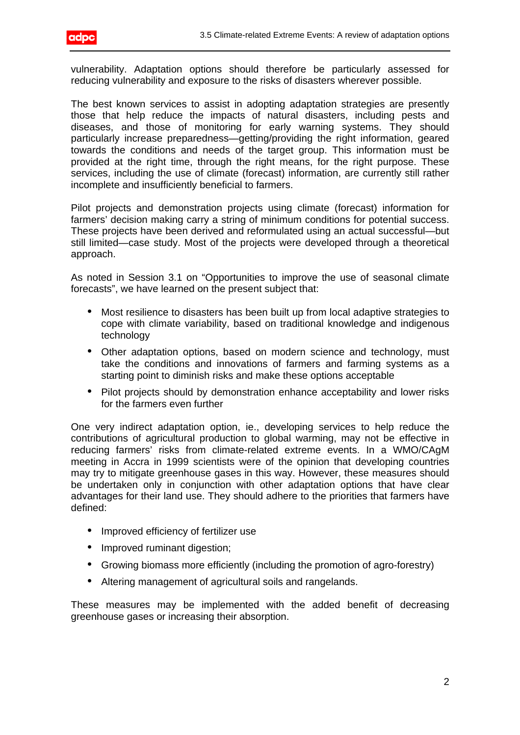



vulnerability. Adaptation options should therefore be particularly assessed for reducing vulnerability and exposure to the risks of disasters wherever possible.

The best known services to assist in adopting adaptation strategies are presently those that help reduce the impacts of natural disasters, including pests and diseases, and those of monitoring for early warning systems. They should particularly increase preparedness—getting/providing the right information, geared towards the conditions and needs of the target group. This information must be provided at the right time, through the right means, for the right purpose. These services, including the use of climate (forecast) information, are currently still rather incomplete and insufficiently beneficial to farmers.

Pilot projects and demonstration projects using climate (forecast) information for farmers' decision making carry a string of minimum conditions for potential success. These projects have been derived and reformulated using an actual successful—but still limited—case study. Most of the projects were developed through a theoretical approach.

As noted in Session 3.1 on "Opportunities to improve the use of seasonal climate forecasts", we have learned on the present subject that:

- Most resilience to disasters has been built up from local adaptive strategies to cope with climate variability, based on traditional knowledge and indigenous technology
- Other adaptation options, based on modern science and technology, must take the conditions and innovations of farmers and farming systems as a starting point to diminish risks and make these options acceptable
- Pilot projects should by demonstration enhance acceptability and lower risks for the farmers even further

One very indirect adaptation option, ie., developing services to help reduce the contributions of agricultural production to global warming, may not be effective in reducing farmers' risks from climate-related extreme events. In a WMO/CAgM meeting in Accra in 1999 scientists were of the opinion that developing countries may try to mitigate greenhouse gases in this way. However, these measures should be undertaken only in conjunction with other adaptation options that have clear advantages for their land use. They should adhere to the priorities that farmers have defined:

- Improved efficiency of fertilizer use
- Improved ruminant digestion;
- Growing biomass more efficiently (including the promotion of agro-forestry)
- Altering management of agricultural soils and rangelands.

These measures may be implemented with the added benefit of decreasing greenhouse gases or increasing their absorption.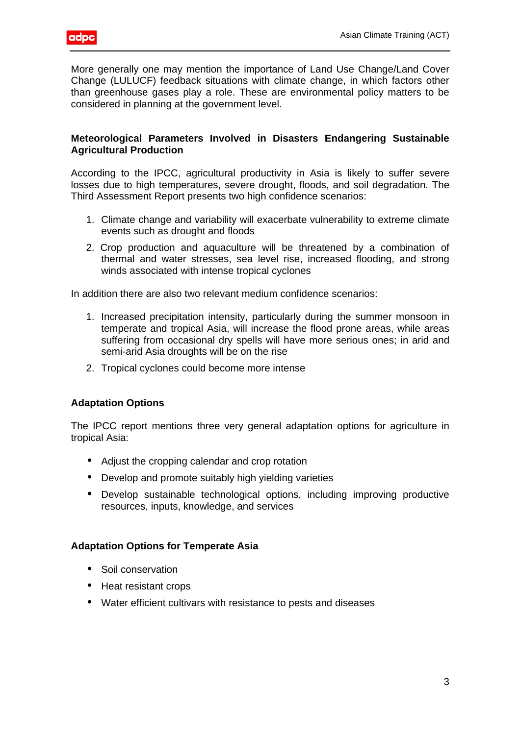

More generally one may mention the importance of Land Use Change/Land Cover Change (LULUCF) feedback situations with climate change, in which factors other than greenhouse gases play a role. These are environmental policy matters to be considered in planning at the government level.

## **Meteorological Parameters Involved in Disasters Endangering Sustainable Agricultural Production**

According to the IPCC, agricultural productivity in Asia is likely to suffer severe losses due to high temperatures, severe drought, floods, and soil degradation. The Third Assessment Report presents two high confidence scenarios:

- 1. Climate change and variability will exacerbate vulnerability to extreme climate events such as drought and floods
- 2. Crop production and aquaculture will be threatened by a combination of thermal and water stresses, sea level rise, increased flooding, and strong winds associated with intense tropical cyclones

In addition there are also two relevant medium confidence scenarios:

- 1. Increased precipitation intensity, particularly during the summer monsoon in temperate and tropical Asia, will increase the flood prone areas, while areas suffering from occasional dry spells will have more serious ones; in arid and semi-arid Asia droughts will be on the rise
- 2. Tropical cyclones could become more intense

#### **Adaptation Options**

The IPCC report mentions three very general adaptation options for agriculture in tropical Asia:

- Adjust the cropping calendar and crop rotation
- Develop and promote suitably high yielding varieties
- Develop sustainable technological options, including improving productive resources, inputs, knowledge, and services

#### **Adaptation Options for Temperate Asia**

- Soil conservation
- Heat resistant crops
- Water efficient cultivars with resistance to pests and diseases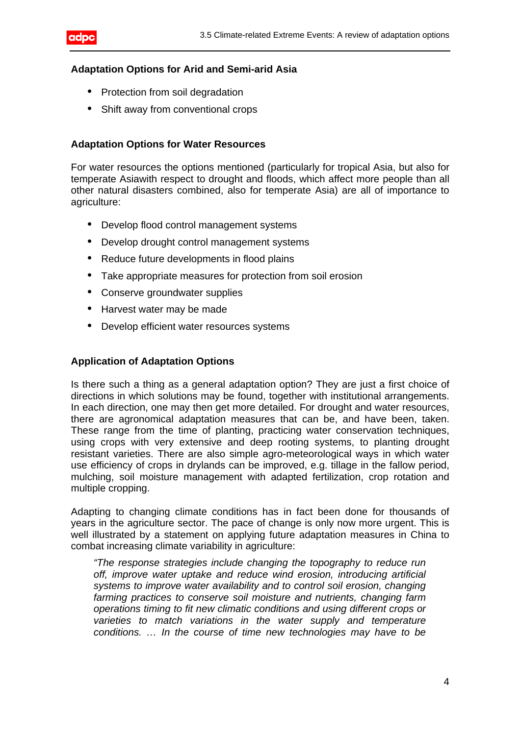

## **Adaptation Options for Arid and Semi-arid Asia**

- Protection from soil degradation
- Shift away from conventional crops

## **Adaptation Options for Water Resources**

For water resources the options mentioned (particularly for tropical Asia, but also for temperate Asiawith respect to drought and floods, which affect more people than all other natural disasters combined, also for temperate Asia) are all of importance to agriculture:

- Develop flood control management systems
- Develop drought control management systems
- Reduce future developments in flood plains
- Take appropriate measures for protection from soil erosion
- Conserve groundwater supplies
- Harvest water may be made
- Develop efficient water resources systems

#### **Application of Adaptation Options**

Is there such a thing as a general adaptation option? They are just a first choice of directions in which solutions may be found, together with institutional arrangements. In each direction, one may then get more detailed. For drought and water resources, there are agronomical adaptation measures that can be, and have been, taken. These range from the time of planting, practicing water conservation techniques, using crops with very extensive and deep rooting systems, to planting drought resistant varieties. There are also simple agro-meteorological ways in which water use efficiency of crops in drylands can be improved, e.g. tillage in the fallow period, mulching, soil moisture management with adapted fertilization, crop rotation and multiple cropping.

Adapting to changing climate conditions has in fact been done for thousands of years in the agriculture sector. The pace of change is only now more urgent. This is well illustrated by a statement on applying future adaptation measures in China to combat increasing climate variability in agriculture:

*"The response strategies include changing the topography to reduce run off, improve water uptake and reduce wind erosion, introducing artificial systems to improve water availability and to control soil erosion, changing farming practices to conserve soil moisture and nutrients, changing farm operations timing to fit new climatic conditions and using different crops or varieties to match variations in the water supply and temperature conditions. … In the course of time new technologies may have to be*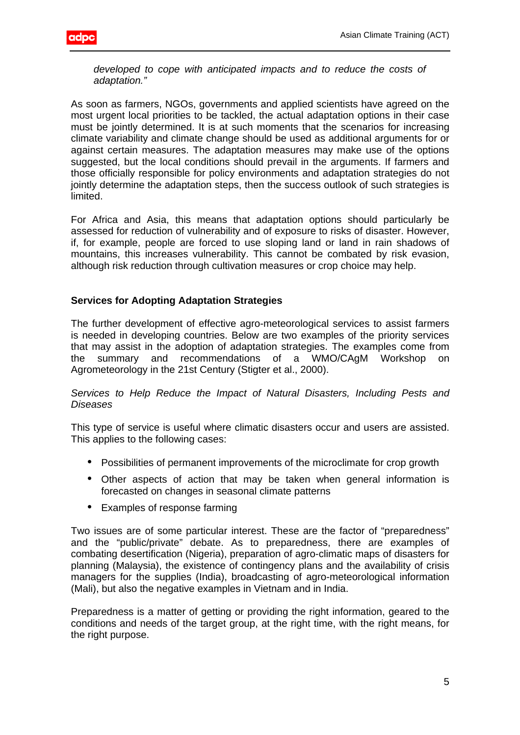

*developed to cope with anticipated impacts and to reduce the costs of adaptation."*

As soon as farmers, NGOs, governments and applied scientists have agreed on the most urgent local priorities to be tackled, the actual adaptation options in their case must be jointly determined. It is at such moments that the scenarios for increasing climate variability and climate change should be used as additional arguments for or against certain measures. The adaptation measures may make use of the options suggested, but the local conditions should prevail in the arguments. If farmers and those officially responsible for policy environments and adaptation strategies do not jointly determine the adaptation steps, then the success outlook of such strategies is limited.

For Africa and Asia, this means that adaptation options should particularly be assessed for reduction of vulnerability and of exposure to risks of disaster. However, if, for example, people are forced to use sloping land or land in rain shadows of mountains, this increases vulnerability. This cannot be combated by risk evasion, although risk reduction through cultivation measures or crop choice may help.

# **Services for Adopting Adaptation Strategies**

The further development of effective agro-meteorological services to assist farmers is needed in developing countries. Below are two examples of the priority services that may assist in the adoption of adaptation strategies. The examples come from the summary and recommendations of a WMO/CAgM Workshop on Agrometeorology in the 21st Century (Stigter et al., 2000).

*Services to Help Reduce the Impact of Natural Disasters, Including Pests and Diseases*

This type of service is useful where climatic disasters occur and users are assisted. This applies to the following cases:

- Possibilities of permanent improvements of the microclimate for crop growth
- Other aspects of action that may be taken when general information is forecasted on changes in seasonal climate patterns
- Examples of response farming

Two issues are of some particular interest. These are the factor of "preparedness" and the "public/private" debate. As to preparedness, there are examples of combating desertification (Nigeria), preparation of agro-climatic maps of disasters for planning (Malaysia), the existence of contingency plans and the availability of crisis managers for the supplies (India), broadcasting of agro-meteorological information (Mali), but also the negative examples in Vietnam and in India.

Preparedness is a matter of getting or providing the right information, geared to the conditions and needs of the target group, at the right time, with the right means, for the right purpose.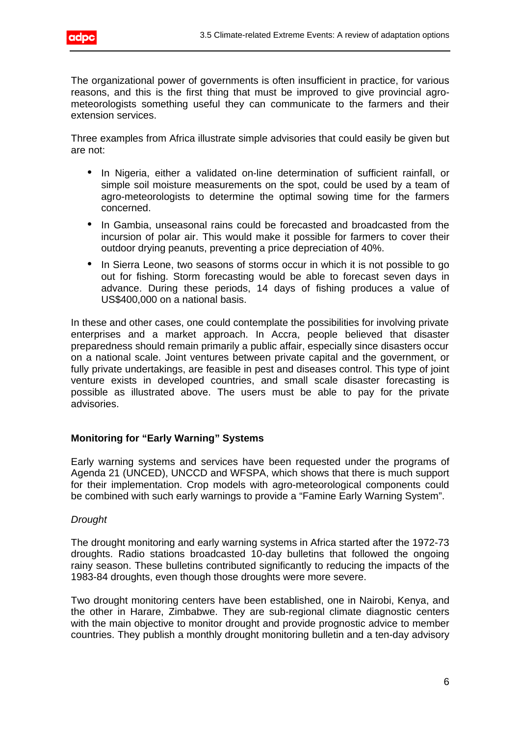

The organizational power of governments is often insufficient in practice, for various reasons, and this is the first thing that must be improved to give provincial agrometeorologists something useful they can communicate to the farmers and their extension services.

Three examples from Africa illustrate simple advisories that could easily be given but are not:

- In Nigeria, either a validated on-line determination of sufficient rainfall, or simple soil moisture measurements on the spot, could be used by a team of agro-meteorologists to determine the optimal sowing time for the farmers concerned.
- In Gambia, unseasonal rains could be forecasted and broadcasted from the incursion of polar air. This would make it possible for farmers to cover their outdoor drying peanuts, preventing a price depreciation of 40%.
- In Sierra Leone, two seasons of storms occur in which it is not possible to go out for fishing. Storm forecasting would be able to forecast seven days in advance. During these periods, 14 days of fishing produces a value of US\$400,000 on a national basis.

In these and other cases, one could contemplate the possibilities for involving private enterprises and a market approach. In Accra, people believed that disaster preparedness should remain primarily a public affair, especially since disasters occur on a national scale. Joint ventures between private capital and the government, or fully private undertakings, are feasible in pest and diseases control. This type of joint venture exists in developed countries, and small scale disaster forecasting is possible as illustrated above. The users must be able to pay for the private advisories.

# **Monitoring for "Early Warning" Systems**

Early warning systems and services have been requested under the programs of Agenda 21 (UNCED), UNCCD and WFSPA, which shows that there is much support for their implementation. Crop models with agro-meteorological components could be combined with such early warnings to provide a "Famine Early Warning System".

# *Drought*

The drought monitoring and early warning systems in Africa started after the 1972-73 droughts. Radio stations broadcasted 10-day bulletins that followed the ongoing rainy season. These bulletins contributed significantly to reducing the impacts of the 1983-84 droughts, even though those droughts were more severe.

Two drought monitoring centers have been established, one in Nairobi, Kenya, and the other in Harare, Zimbabwe. They are sub-regional climate diagnostic centers with the main objective to monitor drought and provide prognostic advice to member countries. They publish a monthly drought monitoring bulletin and a ten-day advisory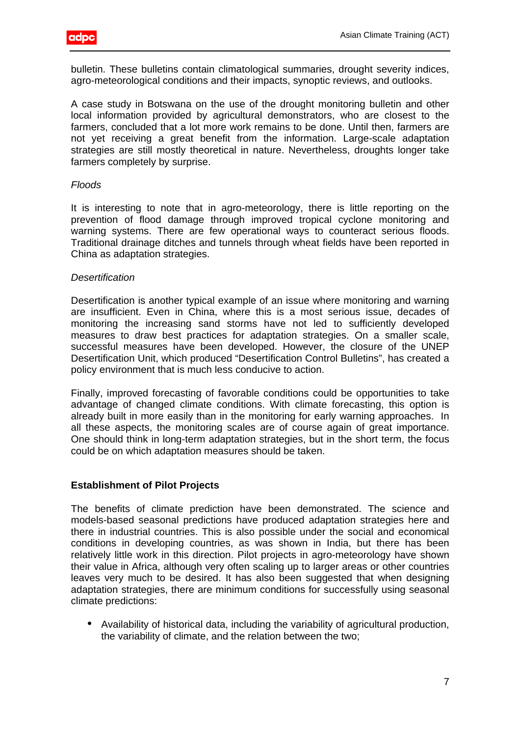

bulletin. These bulletins contain climatological summaries, drought severity indices, agro-meteorological conditions and their impacts, synoptic reviews, and outlooks.

A case study in Botswana on the use of the drought monitoring bulletin and other local information provided by agricultural demonstrators, who are closest to the farmers, concluded that a lot more work remains to be done. Until then, farmers are not yet receiving a great benefit from the information. Large-scale adaptation strategies are still mostly theoretical in nature. Nevertheless, droughts longer take farmers completely by surprise.

## *Floods*

It is interesting to note that in agro-meteorology, there is little reporting on the prevention of flood damage through improved tropical cyclone monitoring and warning systems. There are few operational ways to counteract serious floods. Traditional drainage ditches and tunnels through wheat fields have been reported in China as adaptation strategies.

#### *Desertification*

Desertification is another typical example of an issue where monitoring and warning are insufficient. Even in China, where this is a most serious issue, decades of monitoring the increasing sand storms have not led to sufficiently developed measures to draw best practices for adaptation strategies. On a smaller scale, successful measures have been developed. However, the closure of the UNEP Desertification Unit, which produced "Desertification Control Bulletins", has created a policy environment that is much less conducive to action.

Finally, improved forecasting of favorable conditions could be opportunities to take advantage of changed climate conditions. With climate forecasting, this option is already built in more easily than in the monitoring for early warning approaches. In all these aspects, the monitoring scales are of course again of great importance. One should think in long-term adaptation strategies, but in the short term, the focus could be on which adaptation measures should be taken.

# **Establishment of Pilot Projects**

The benefits of climate prediction have been demonstrated. The science and models-based seasonal predictions have produced adaptation strategies here and there in industrial countries. This is also possible under the social and economical conditions in developing countries, as was shown in India, but there has been relatively little work in this direction. Pilot projects in agro-meteorology have shown their value in Africa, although very often scaling up to larger areas or other countries leaves very much to be desired. It has also been suggested that when designing adaptation strategies, there are minimum conditions for successfully using seasonal climate predictions:

• Availability of historical data, including the variability of agricultural production, the variability of climate, and the relation between the two;